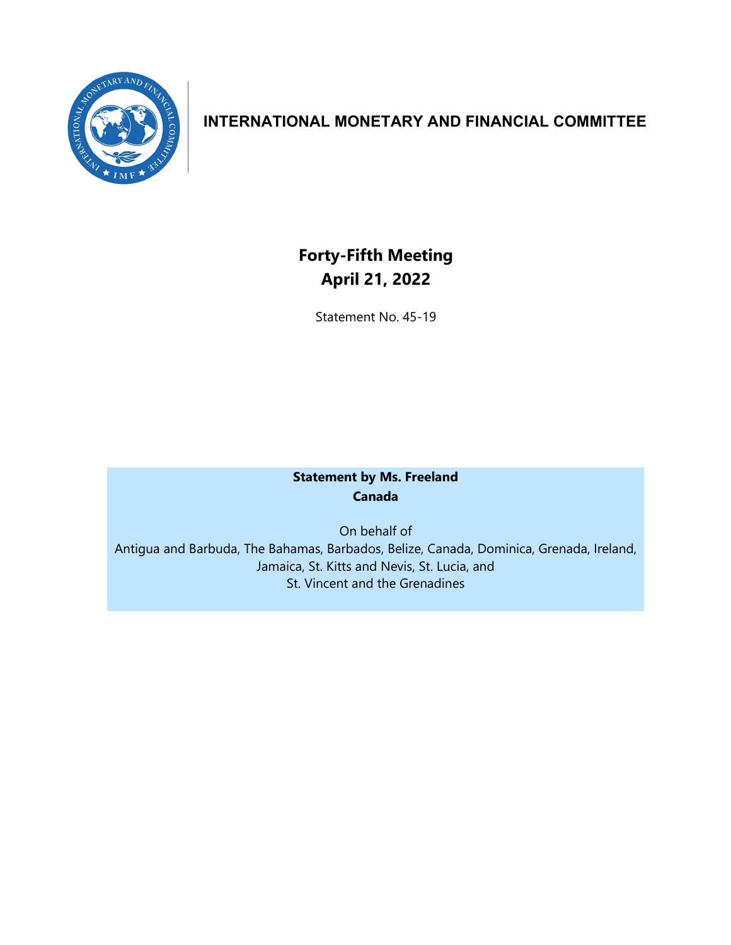

## **INTERNATIONAL MONETARY AND FINANCIAL COMMITTEE**

# **Forty-Fifth Meeting April 21, 2022**

Statement No. 45-19

### **Statement by Ms. Freeland Canada**

On behalf of Antigua and Barbuda, The Bahamas, Barbados, Belize, Canada, Dominica, Grenada, Ireland, Jamaica, St. Kitts and Nevis, St. Lucia, and St. Vincent and the Grenadines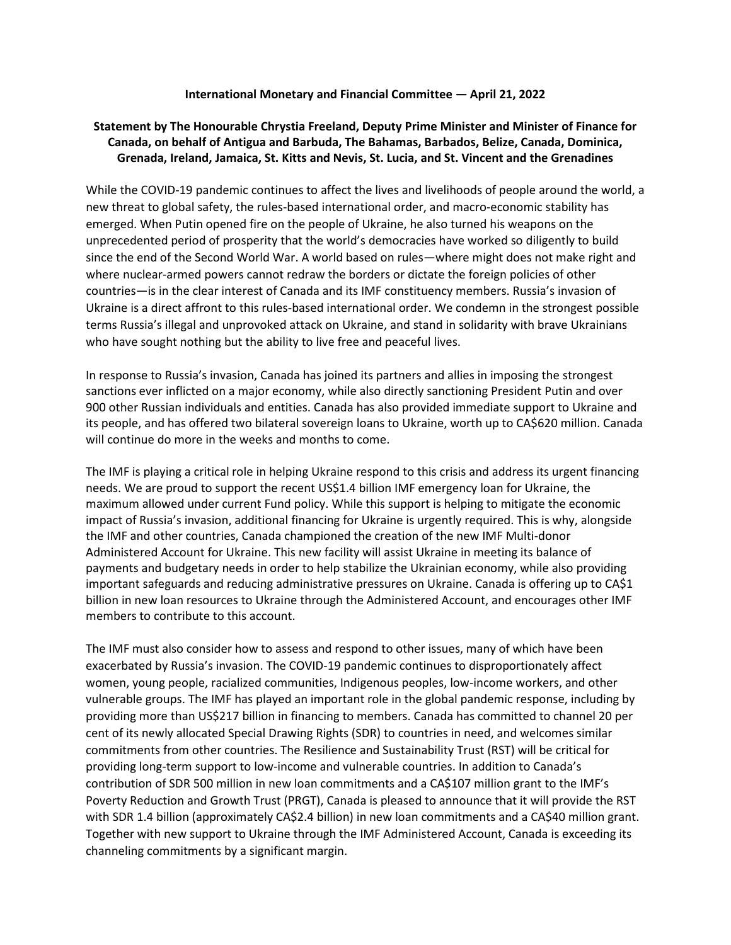#### **International Monetary and Financial Committee — April 21, 2022**

### **Statement by The Honourable Chrystia Freeland, Deputy Prime Minister and Minister of Finance for Canada, on behalf of Antigua and Barbuda, The Bahamas, Barbados, Belize, Canada, Dominica, Grenada, Ireland, Jamaica, St. Kitts and Nevis, St. Lucia, and St. Vincent and the Grenadines**

While the COVID-19 pandemic continues to affect the lives and livelihoods of people around the world, a new threat to global safety, the rules-based international order, and macro-economic stability has emerged. When Putin opened fire on the people of Ukraine, he also turned his weapons on the unprecedented period of prosperity that the world's democracies have worked so diligently to build since the end of the Second World War. A world based on rules—where might does not make right and where nuclear-armed powers cannot redraw the borders or dictate the foreign policies of other countries—is in the clear interest of Canada and its IMF constituency members. Russia's invasion of Ukraine is a direct affront to this rules-based international order. We condemn in the strongest possible terms Russia's illegal and unprovoked attack on Ukraine, and stand in solidarity with brave Ukrainians who have sought nothing but the ability to live free and peaceful lives.

In response to Russia's invasion, Canada has joined its partners and allies in imposing the strongest sanctions ever inflicted on a major economy, while also directly sanctioning President Putin and over 900 other Russian individuals and entities. Canada has also provided immediate support to Ukraine and its people, and has offered two bilateral sovereign loans to Ukraine, worth up to CA\$620 million. Canada will continue do more in the weeks and months to come.

The IMF is playing a critical role in helping Ukraine respond to this crisis and address its urgent financing needs. We are proud to support the recent US\$1.4 billion IMF emergency loan for Ukraine, the maximum allowed under current Fund policy. While this support is helping to mitigate the economic impact of Russia's invasion, additional financing for Ukraine is urgently required. This is why, alongside the IMF and other countries, Canada championed the creation of the new IMF Multi-donor Administered Account for Ukraine. This new facility will assist Ukraine in meeting its balance of payments and budgetary needs in order to help stabilize the Ukrainian economy, while also providing important safeguards and reducing administrative pressures on Ukraine. Canada is offering up to CA\$1 billion in new loan resources to Ukraine through the Administered Account, and encourages other IMF members to contribute to this account.

The IMF must also consider how to assess and respond to other issues, many of which have been exacerbated by Russia's invasion. The COVID-19 pandemic continues to disproportionately affect women, young people, racialized communities, Indigenous peoples, low-income workers, and other vulnerable groups. The IMF has played an important role in the global pandemic response, including by providing more than US\$217 billion in financing to members. Canada has committed to channel 20 per cent of its newly allocated Special Drawing Rights (SDR) to countries in need, and welcomes similar commitments from other countries. The Resilience and Sustainability Trust (RST) will be critical for providing long-term support to low-income and vulnerable countries. In addition to Canada's contribution of SDR 500 million in new loan commitments and a CA\$107 million grant to the IMF's Poverty Reduction and Growth Trust (PRGT), Canada is pleased to announce that it will provide the RST with SDR 1.4 billion (approximately CA\$2.4 billion) in new loan commitments and a CA\$40 million grant. Together with new support to Ukraine through the IMF Administered Account, Canada is exceeding its channeling commitments by a significant margin.